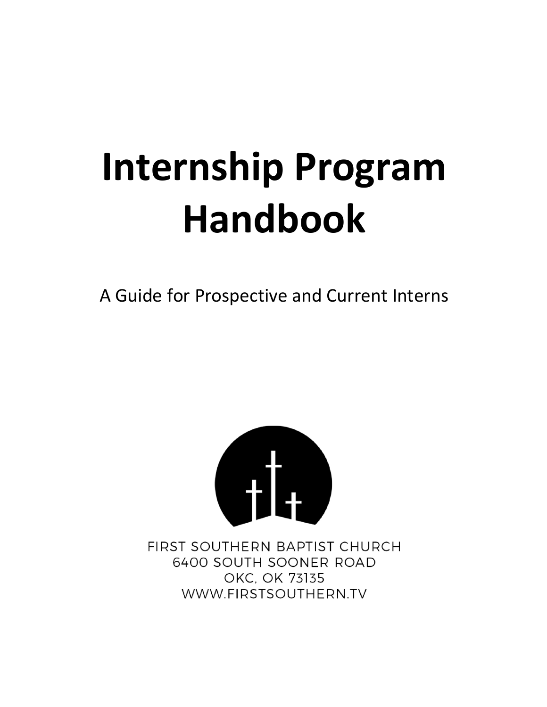# **Internship Program Handbook**

A Guide for Prospective and Current Interns



FIRST SOUTHERN BAPTIST CHURCH 6400 SOUTH SOONER ROAD OKC, OK 73135 WWW.FIRSTSOUTHERN.TV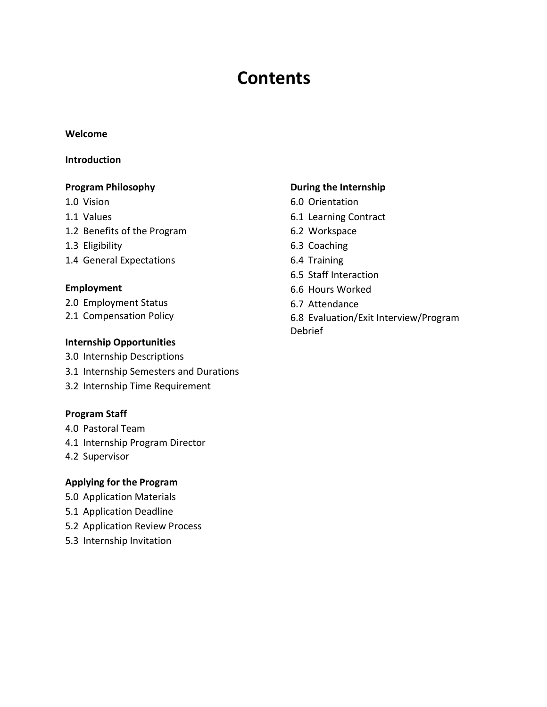# **Contents**

#### **Welcome**

#### **Introduction**

#### **Program Philosophy**

- 1.0 Vision
- 1.1 Values
- 1.2 Benefits of the Program
- 1.3 Eligibility
- 1.4 General Expectations

#### **Employment**

- 2.0 Employment Status
- 2.1 Compensation Policy

#### **Internship Opportunities**

- 3.0 Internship Descriptions
- 3.1 Internship Semesters and Durations
- 3.2 Internship Time Requirement

#### **Program Staff**

- 4.0 Pastoral Team
- 4.1 Internship Program Director
- 4.2 Supervisor

#### **Applying for the Program**

- 5.0 Application Materials
- 5.1 Application Deadline
- 5.2 Application Review Process
- 5.3 Internship Invitation

#### **During the Internship**

- 6.0 Orientation
- 6.1 Learning Contract
- 6.2 Workspace
- 6.3 Coaching
- 6.4 Training
- 6.5 Staff Interaction
- 6.6 Hours Worked
- 6.7 Attendance
- 6.8 Evaluation/Exit Interview/Program Debrief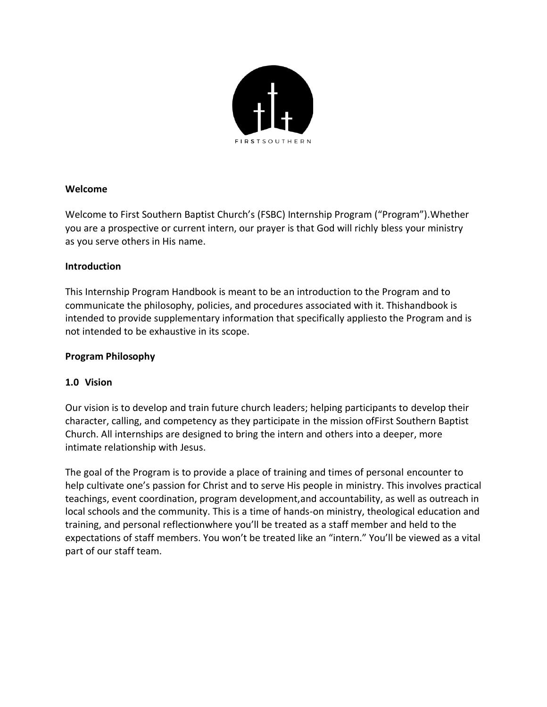

#### **Welcome**

Welcome to First Southern Baptist Church's (FSBC) Internship Program ("Program").Whether you are a prospective or current intern, our prayer is that God will richly bless your ministry as you serve others in His name.

#### **Introduction**

This Internship Program Handbook is meant to be an introduction to the Program and to communicate the philosophy, policies, and procedures associated with it. Thishandbook is intended to provide supplementary information that specifically appliesto the Program and is not intended to be exhaustive in its scope.

#### **Program Philosophy**

# **1.0 Vision**

Our vision is to develop and train future church leaders; helping participants to develop their character, calling, and competency as they participate in the mission ofFirst Southern Baptist Church. All internships are designed to bring the intern and others into a deeper, more intimate relationship with Jesus.

The goal of the Program is to provide a place of training and times of personal encounter to help cultivate one's passion for Christ and to serve His people in ministry. This involves practical teachings, event coordination, program development,and accountability, as well as outreach in local schools and the community. This is a time of hands-on ministry, theological education and training, and personal reflectionwhere you'll be treated as a staff member and held to the expectations of staff members. You won't be treated like an "intern." You'll be viewed as a vital part of our staff team.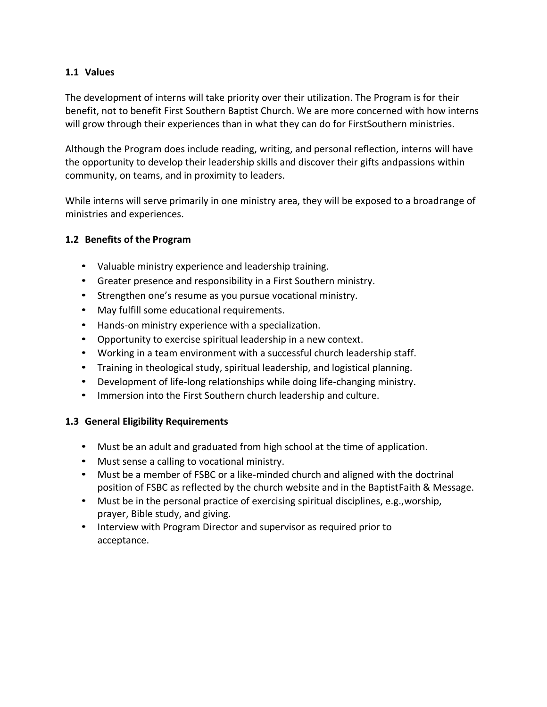#### **1.1 Values**

The development of interns will take priority over their utilization. The Program is for their benefit, not to benefit First Southern Baptist Church. We are more concerned with how interns will grow through their experiences than in what they can do for FirstSouthern ministries.

Although the Program does include reading, writing, and personal reflection, interns will have the opportunity to develop their leadership skills and discover their gifts andpassions within community, on teams, and in proximity to leaders.

While interns will serve primarily in one ministry area, they will be exposed to a broadrange of ministries and experiences.

#### **1.2 Benefits of the Program**

- Valuable ministry experience and leadership training.
- Greater presence and responsibility in a First Southern ministry.
- Strengthen one's resume as you pursue vocational ministry.
- May fulfill some educational requirements.
- Hands-on ministry experience with a specialization.
- Opportunity to exercise spiritual leadership in a new context.
- Working in a team environment with a successful church leadership staff.
- Training in theological study, spiritual leadership, and logistical planning.
- Development of life-long relationships while doing life-changing ministry.
- Immersion into the First Southern church leadership and culture.

#### **1.3 General Eligibility Requirements**

- Must be an adult and graduated from high school at the time of application.
- Must sense a calling to vocational ministry.
- Must be a member of FSBC or a like-minded church and aligned with the doctrinal position of FSBC as reflected by the church website and in the BaptistFaith & Message.
- Must be in the personal practice of exercising spiritual disciplines, e.g.,worship, prayer, Bible study, and giving.
- Interview with Program Director and supervisor as required prior to acceptance.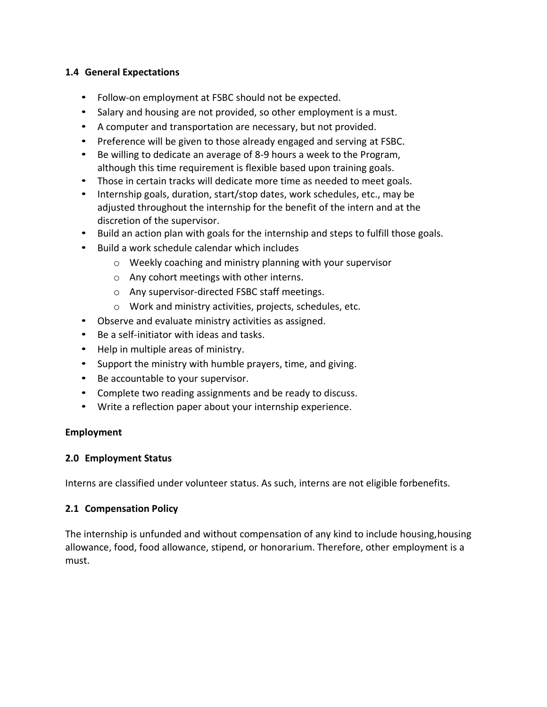#### **1.4 General Expectations**

- Follow-on employment at FSBC should not be expected.
- Salary and housing are not provided, so other employment is a must.
- A computer and transportation are necessary, but not provided.
- Preference will be given to those already engaged and serving at FSBC.
- Be willing to dedicate an average of 8-9 hours a week to the Program, although this time requirement is flexible based upon training goals.
- Those in certain tracks will dedicate more time as needed to meet goals.
- Internship goals, duration, start/stop dates, work schedules, etc., may be adjusted throughout the internship for the benefit of the intern and at the discretion of the supervisor.
- Build an action plan with goals for the internship and steps to fulfill those goals.
- Build a work schedule calendar which includes
	- o Weekly coaching and ministry planning with your supervisor
	- o Any cohort meetings with other interns.
	- o Any supervisor-directed FSBC staff meetings.
	- o Work and ministry activities, projects, schedules, etc.
- Observe and evaluate ministry activities as assigned.
- Be a self-initiator with ideas and tasks.
- Help in multiple areas of ministry.
- Support the ministry with humble prayers, time, and giving.
- Be accountable to your supervisor.
- Complete two reading assignments and be ready to discuss.
- Write a reflection paper about your internship experience.

# **Employment**

#### **2.0 Employment Status**

Interns are classified under volunteer status. As such, interns are not eligible forbenefits.

# **2.1 Compensation Policy**

The internship is unfunded and without compensation of any kind to include housing,housing allowance, food, food allowance, stipend, or honorarium. Therefore, other employment is a must.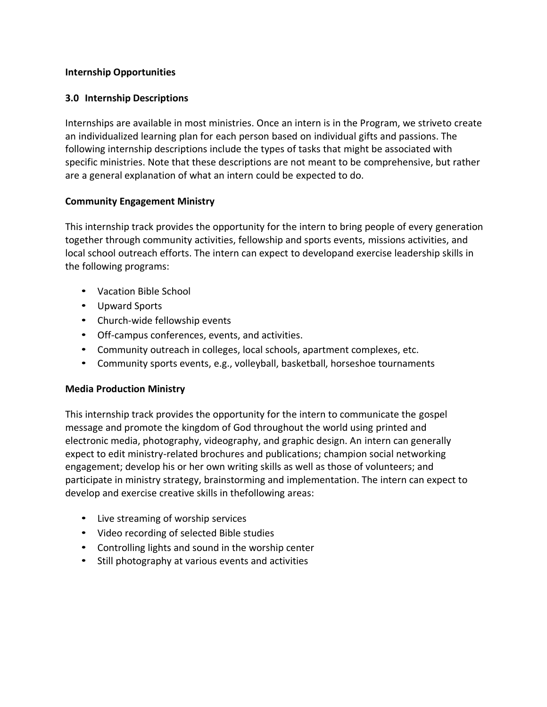#### **Internship Opportunities**

#### **3.0 Internship Descriptions**

Internships are available in most ministries. Once an intern is in the Program, we striveto create an individualized learning plan for each person based on individual gifts and passions. The following internship descriptions include the types of tasks that might be associated with specific ministries. Note that these descriptions are not meant to be comprehensive, but rather are a general explanation of what an intern could be expected to do.

#### **Community Engagement Ministry**

This internship track provides the opportunity for the intern to bring people of every generation together through community activities, fellowship and sports events, missions activities, and local school outreach efforts. The intern can expect to developand exercise leadership skills in the following programs:

- Vacation Bible School
- Upward Sports
- Church-wide fellowship events
- Off-campus conferences, events, and activities.
- Community outreach in colleges, local schools, apartment complexes, etc.
- Community sports events, e.g., volleyball, basketball, horseshoe tournaments

#### **Media Production Ministry**

This internship track provides the opportunity for the intern to communicate the gospel message and promote the kingdom of God throughout the world using printed and electronic media, photography, videography, and graphic design. An intern can generally expect to edit ministry-related brochures and publications; champion social networking engagement; develop his or her own writing skills as well as those of volunteers; and participate in ministry strategy, brainstorming and implementation. The intern can expect to develop and exercise creative skills in thefollowing areas:

- Live streaming of worship services
- Video recording of selected Bible studies
- Controlling lights and sound in the worship center
- Still photography at various events and activities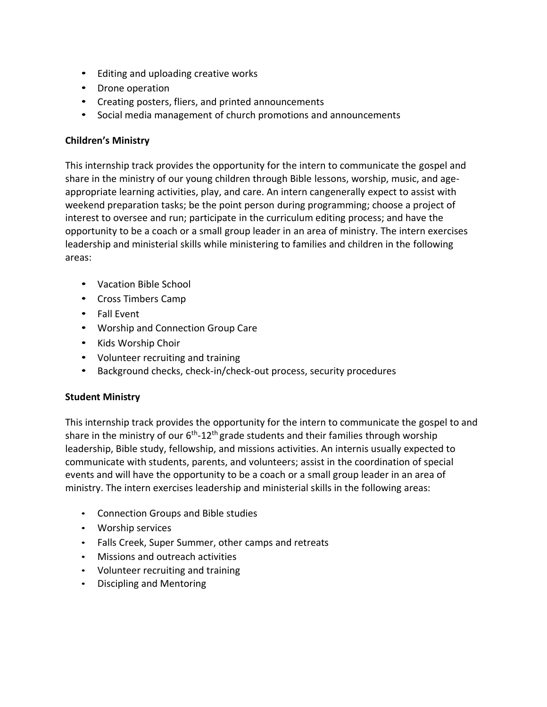- Editing and uploading creative works
- Drone operation
- Creating posters, fliers, and printed announcements
- Social media management of church promotions and announcements

# **Children's Ministry**

This internship track provides the opportunity for the intern to communicate the gospel and share in the ministry of our young children through Bible lessons, worship, music, and ageappropriate learning activities, play, and care. An intern cangenerally expect to assist with weekend preparation tasks; be the point person during programming; choose a project of interest to oversee and run; participate in the curriculum editing process; and have the opportunity to be a coach or a small group leader in an area of ministry. The intern exercises leadership and ministerial skills while ministering to families and children in the following areas:

- Vacation Bible School
- Cross Timbers Camp
- Fall Event
- Worship and Connection Group Care
- Kids Worship Choir
- Volunteer recruiting and training
- Background checks, check-in/check-out process, security procedures

# **Student Ministry**

This internship track provides the opportunity for the intern to communicate the gospel to and share in the ministry of our 6<sup>th</sup>-12<sup>th</sup> grade students and their families through worship leadership, Bible study, fellowship, and missions activities. An internis usually expected to communicate with students, parents, and volunteers; assist in the coordination of special events and will have the opportunity to be a coach or a small group leader in an area of ministry. The intern exercises leadership and ministerial skills in the following areas:

- Connection Groups and Bible studies
- Worship services
- Falls Creek, Super Summer, other camps and retreats
- Missions and outreach activities
- Volunteer recruiting and training
- Discipling and Mentoring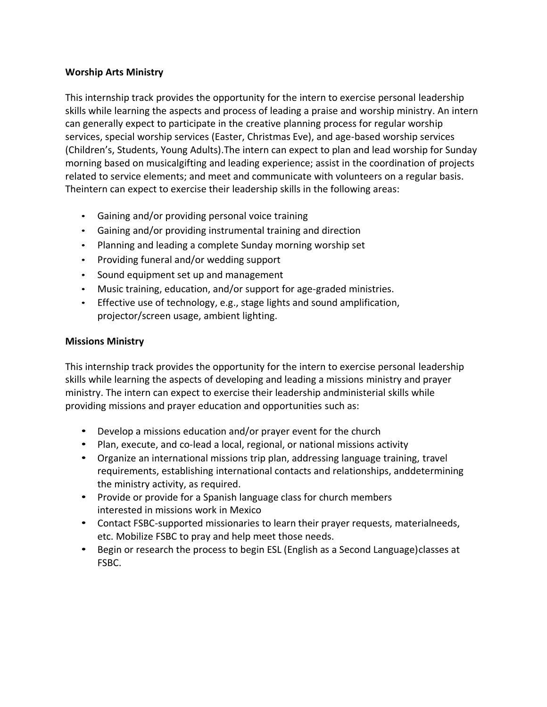#### **Worship Arts Ministry**

This internship track provides the opportunity for the intern to exercise personal leadership skills while learning the aspects and process of leading a praise and worship ministry. An intern can generally expect to participate in the creative planning process for regular worship services, special worship services (Easter, Christmas Eve), and age-based worship services (Children's, Students, Young Adults).The intern can expect to plan and lead worship for Sunday morning based on musicalgifting and leading experience; assist in the coordination of projects related to service elements; and meet and communicate with volunteers on a regular basis. Theintern can expect to exercise their leadership skills in the following areas:

- Gaining and/or providing personal voice training
- Gaining and/or providing instrumental training and direction
- Planning and leading a complete Sunday morning worship set
- Providing funeral and/or wedding support
- Sound equipment set up and management
- Music training, education, and/or support for age-graded ministries.
- Effective use of technology, e.g., stage lights and sound amplification, projector/screen usage, ambient lighting.

#### **Missions Ministry**

This internship track provides the opportunity for the intern to exercise personal leadership skills while learning the aspects of developing and leading a missions ministry and prayer ministry. The intern can expect to exercise their leadership andministerial skills while providing missions and prayer education and opportunities such as:

- Develop a missions education and/or prayer event for the church
- Plan, execute, and co-lead a local, regional, or national missions activity
- Organize an international missions trip plan, addressing language training, travel requirements, establishing international contacts and relationships, anddetermining the ministry activity, as required.
- Provide or provide for a Spanish language class for church members interested in missions work in Mexico
- Contact FSBC-supported missionaries to learn their prayer requests, materialneeds, etc. Mobilize FSBC to pray and help meet those needs.
- Begin or research the process to begin ESL (English as a Second Language) classes at FSBC.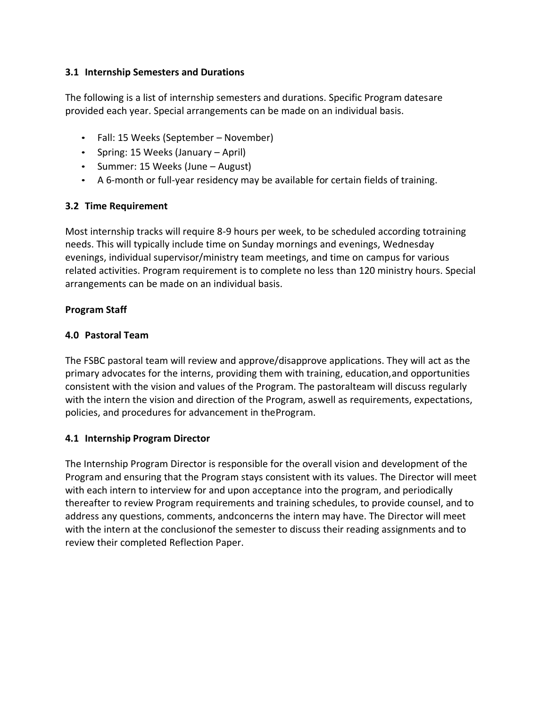#### **3.1 Internship Semesters and Durations**

The following is a list of internship semesters and durations. Specific Program datesare provided each year. Special arrangements can be made on an individual basis.

- Fall: 15 Weeks (September November)
- Spring: 15 Weeks (January April)
- Summer: 15 Weeks (June August)
- A 6-month or full-year residency may be available for certain fields of training.

# **3.2 Time Requirement**

Most internship tracks will require 8-9 hours per week, to be scheduled according totraining needs. This will typically include time on Sunday mornings and evenings, Wednesday evenings, individual supervisor/ministry team meetings, and time on campus for various related activities. Program requirement is to complete no less than 120 ministry hours. Special arrangements can be made on an individual basis.

#### **Program Staff**

#### **4.0 Pastoral Team**

The FSBC pastoral team will review and approve/disapprove applications. They will act as the primary advocates for the interns, providing them with training, education,and opportunities consistent with the vision and values of the Program. The pastoralteam will discuss regularly with the intern the vision and direction of the Program, aswell as requirements, expectations, policies, and procedures for advancement in theProgram.

# **4.1 Internship Program Director**

The Internship Program Director is responsible for the overall vision and development of the Program and ensuring that the Program stays consistent with its values. The Director will meet with each intern to interview for and upon acceptance into the program, and periodically thereafter to review Program requirements and training schedules, to provide counsel, and to address any questions, comments, andconcerns the intern may have. The Director will meet with the intern at the conclusionof the semester to discuss their reading assignments and to review their completed Reflection Paper.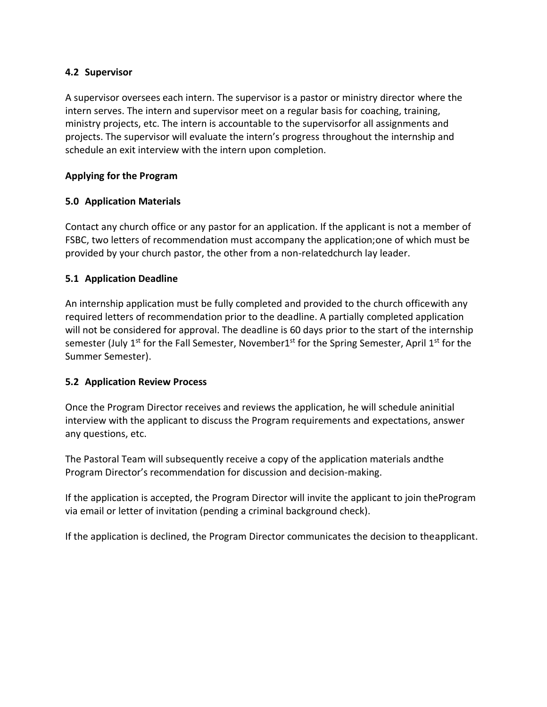#### **4.2 Supervisor**

A supervisor oversees each intern. The supervisor is a pastor or ministry director where the intern serves. The intern and supervisor meet on a regular basis for coaching, training, ministry projects, etc. The intern is accountable to the supervisorfor all assignments and projects. The supervisor will evaluate the intern's progress throughout the internship and schedule an exit interview with the intern upon completion.

#### **Applying for the Program**

# **5.0 Application Materials**

Contact any church office or any pastor for an application. If the applicant is not a member of FSBC, two letters of recommendation must accompany the application;one of which must be provided by your church pastor, the other from a non-relatedchurch lay leader.

# **5.1 Application Deadline**

An internship application must be fully completed and provided to the church officewith any required letters of recommendation prior to the deadline. A partially completed application will not be considered for approval. The deadline is 60 days prior to the start of the internship semester (July 1<sup>st</sup> for the Fall Semester, November1<sup>st</sup> for the Spring Semester, April 1<sup>st</sup> for the Summer Semester).

# **5.2 Application Review Process**

Once the Program Director receives and reviews the application, he will schedule aninitial interview with the applicant to discuss the Program requirements and expectations, answer any questions, etc.

The Pastoral Team will subsequently receive a copy of the application materials andthe Program Director's recommendation for discussion and decision-making.

If the application is accepted, the Program Director will invite the applicant to join theProgram via email or letter of invitation (pending a criminal background check).

If the application is declined, the Program Director communicates the decision to theapplicant.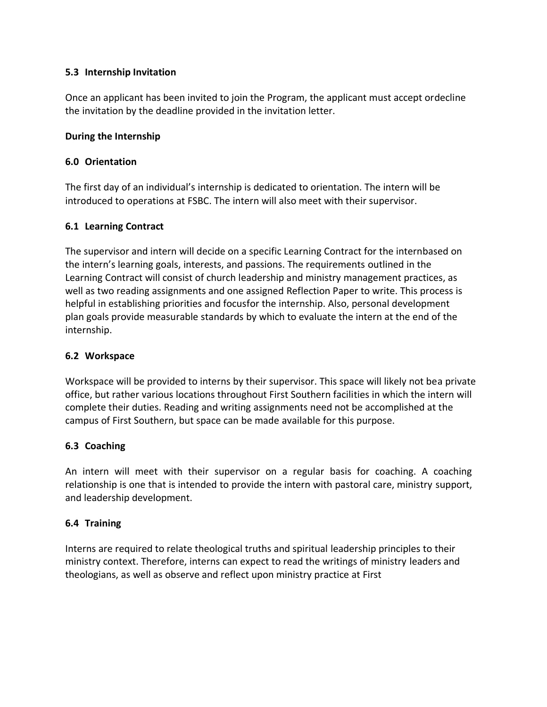#### **5.3 Internship Invitation**

Once an applicant has been invited to join the Program, the applicant must accept ordecline the invitation by the deadline provided in the invitation letter.

#### **During the Internship**

#### **6.0 Orientation**

The first day of an individual's internship is dedicated to orientation. The intern will be introduced to operations at FSBC. The intern will also meet with their supervisor.

#### **6.1 Learning Contract**

The supervisor and intern will decide on a specific Learning Contract for the internbased on the intern's learning goals, interests, and passions. The requirements outlined in the Learning Contract will consist of church leadership and ministry management practices, as well as two reading assignments and one assigned Reflection Paper to write. This process is helpful in establishing priorities and focusfor the internship. Also, personal development plan goals provide measurable standards by which to evaluate the intern at the end of the internship.

#### **6.2 Workspace**

Workspace will be provided to interns by their supervisor. This space will likely not bea private office, but rather various locations throughout First Southern facilities in which the intern will complete their duties. Reading and writing assignments need not be accomplished at the campus of First Southern, but space can be made available for this purpose.

# **6.3 Coaching**

An intern will meet with their supervisor on a regular basis for coaching. A coaching relationship is one that is intended to provide the intern with pastoral care, ministry support, and leadership development.

# **6.4 Training**

Interns are required to relate theological truths and spiritual leadership principles to their ministry context. Therefore, interns can expect to read the writings of ministry leaders and theologians, as well as observe and reflect upon ministry practice at First